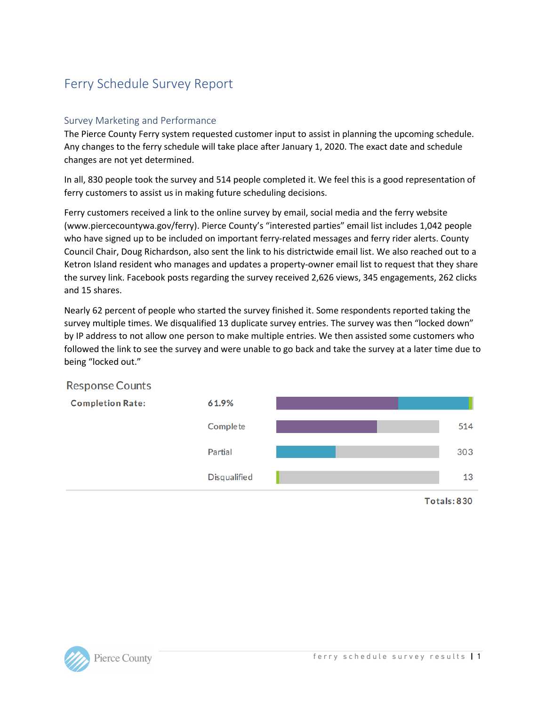# Ferry Schedule Survey Report

## Survey Marketing and Performance

The Pierce County Ferry system requested customer input to assist in planning the upcoming schedule. Any changes to the ferry schedule will take place after January 1, 2020. The exact date and schedule changes are not yet determined.

In all, 830 people took the survey and 514 people completed it. We feel this is a good representation of ferry customers to assist us in making future scheduling decisions.

Ferry customers received a link to the online survey by email, social media and the ferry website (www.piercecountywa.gov/ferry). Pierce County's "interested parties" email list includes 1,042 people who have signed up to be included on important ferry-related messages and ferry rider alerts. County Council Chair, Doug Richardson, also sent the link to his districtwide email list. We also reached out to a Ketron Island resident who manages and updates a property-owner email list to request that they share the survey link. Facebook posts regarding the survey received 2,626 views, 345 engagements, 262 clicks and 15 shares.

Nearly 62 percent of people who started the survey finished it. Some respondents reported taking the survey multiple times. We disqualified 13 duplicate survey entries. The survey was then "locked down" by IP address to not allow one person to make multiple entries. We then assisted some customers who followed the link to see the survey and were unable to go back and take the survey at a later time due to being "locked out."

### **Response Counts**



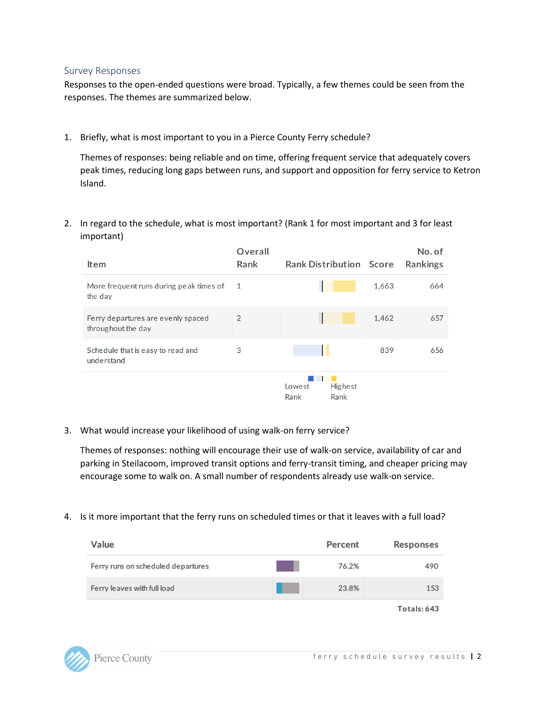#### Survey Responses

Responses to the open-ended questions were broad. Typically, a few themes could be seen from the responses. The themes are summarized below.

1. Briefly, what is most important to you in a Pierce County Ferry schedule?

Themes of responses: being reliable and on time, offering frequent service that adequately covers peak times, reducing long gaps between runs, and support and opposition for ferry service to Ketron Island.

2. In regard to the schedule, what is most important? (Rank 1 for most important and 3 for least important)

| <b>Item</b>                                              | Overall<br>Rank | <b>Rank Distribution Score</b>           |       | No. of<br><b>Rankings</b> |
|----------------------------------------------------------|-----------------|------------------------------------------|-------|---------------------------|
| More frequent runs during peak times of<br>the day       | -1              |                                          | 1,663 | 664                       |
| Ferry departures are evenly spaced<br>throughout the day | 2               |                                          | 1,462 | 657                       |
| Schedule that is easy to read and<br>understand          | 3               |                                          | 839   | 656                       |
|                                                          |                 | <b>Highest</b><br>Lowest<br>Rank<br>Rank |       |                           |

3. What would increase your likelihood of using walk-on ferry service?

Themes of responses: nothing will encourage their use of walk-on service, availability of car and parking in Steilacoom, improved transit options and ferry-transit timing, and cheaper pricing may encourage some to walk on. A small number of respondents already use walk-on service.

4. Is it more important that the ferry runs on scheduled times or that it leaves with a full load?

| Value                              | Percent | Responses |
|------------------------------------|---------|-----------|
| Ferry runs on scheduled departures | 76.2%   | 490       |
| Ferry leaves with full load        | 23.8%   | 153       |

Totals: 643

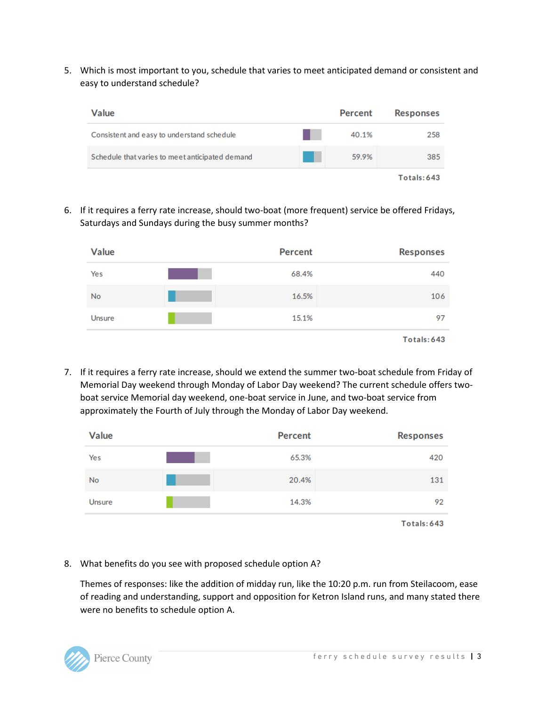5. Which is most important to you, schedule that varies to meet anticipated demand or consistent and easy to understand schedule?

| <b>Value</b>                                    | <b>Percent</b> | <b>Responses</b> |
|-------------------------------------------------|----------------|------------------|
| Consistent and easy to understand schedule      | 40.1%          | 258              |
| Schedule that varies to meet anticipated demand | 59.9%          | 385              |
|                                                 |                | Totals: 643      |

6. If it requires a ferry rate increase, should two-boat (more frequent) service be offered Fridays, Saturdays and Sundays during the busy summer months?

| <b>Value</b>  | <b>Percent</b> | <b>Responses</b> |
|---------------|----------------|------------------|
| Yes           | 68.4%          | 440              |
| No            | 16.5%          | 106              |
| <b>Unsure</b> | 15.1%          | 97               |
|               |                | Totals: 643      |

7. If it requires a ferry rate increase, should we extend the summer two-boat schedule from Friday of Memorial Day weekend through Monday of Labor Day weekend? The current schedule offers twoboat service Memorial day weekend, one-boat service in June, and two-boat service from approximately the Fourth of July through the Monday of Labor Day weekend.

| <b>Value</b>  | <b>Percent</b> | <b>Responses</b> |
|---------------|----------------|------------------|
| Yes           | 65.3%          | 420              |
| <b>No</b>     | 20.4%          | 131              |
| <b>Unsure</b> | 14.3%          | 92               |
|               |                | Totals: 643      |

8. What benefits do you see with proposed schedule option A?

Themes of responses: like the addition of midday run, like the 10:20 p.m. run from Steilacoom, ease of reading and understanding, support and opposition for Ketron Island runs, and many stated there were no benefits to schedule option A.

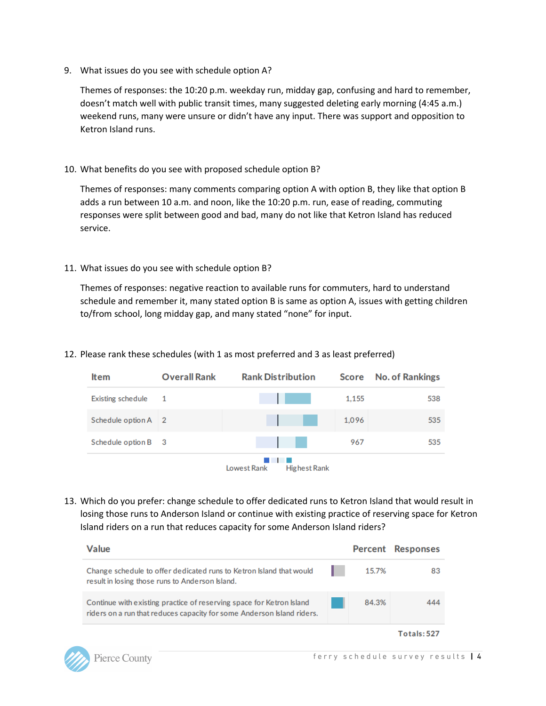9. What issues do you see with schedule option A?

Themes of responses: the 10:20 p.m. weekday run, midday gap, confusing and hard to remember, doesn't match well with public transit times, many suggested deleting early morning (4:45 a.m.) weekend runs, many were unsure or didn't have any input. There was support and opposition to Ketron Island runs.

10. What benefits do you see with proposed schedule option B?

Themes of responses: many comments comparing option A with option B, they like that option B adds a run between 10 a.m. and noon, like the 10:20 p.m. run, ease of reading, commuting responses were split between good and bad, many do not like that Ketron Island has reduced service.

11. What issues do you see with schedule option B?

Themes of responses: negative reaction to available runs for commuters, hard to understand schedule and remember it, many stated option B is same as option A, issues with getting children to/from school, long midday gap, and many stated "none" for input.

12. Please rank these schedules (with 1 as most preferred and 3 as least preferred)

| <b>Item</b>              | <b>Overall Rank</b> | <b>Rank Distribution</b>           | Score | <b>No. of Rankings</b> |
|--------------------------|---------------------|------------------------------------|-------|------------------------|
| <b>Existing schedule</b> | 1                   |                                    | 1,155 | 538                    |
| Schedule option A 2      |                     |                                    | 1,096 | 535                    |
| Schedule option B 3      |                     |                                    | 967   | 535                    |
|                          |                     | Lowest Rank<br><b>Highest Rank</b> |       |                        |

13. Which do you prefer: change schedule to offer dedicated runs to Ketron Island that would result in losing those runs to Anderson Island or continue with existing practice of reserving space for Ketron Island riders on a run that reduces capacity for some Anderson Island riders?

| <b>Value</b>                                                                                                                                   |       | Percent Responses |
|------------------------------------------------------------------------------------------------------------------------------------------------|-------|-------------------|
| Change schedule to offer dedicated runs to Ketron Island that would<br>result in losing those runs to Anderson Island.                         | 15.7% | 83                |
| Continue with existing practice of reserving space for Ketron Island<br>riders on a run that reduces capacity for some Anderson Island riders. | 84.3% | 444               |
|                                                                                                                                                |       | Totals: 527       |